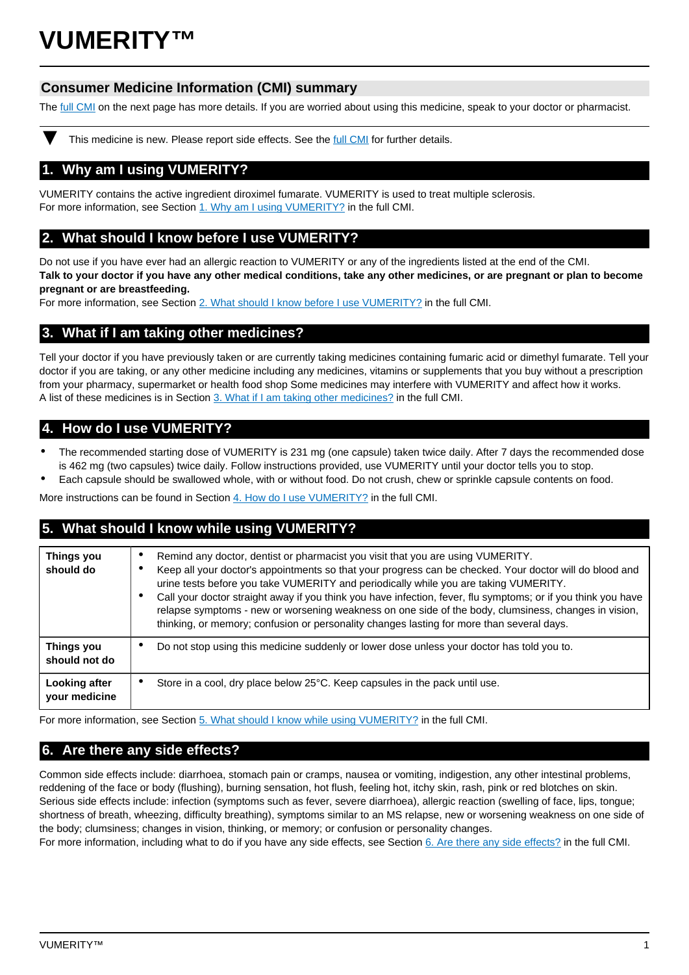# **VUMERITY™**

# **Consumer Medicine Information (CMI) summary**

The [full CMI](#page-1-0) on the next page has more details. If you are worried about using this medicine, speak to your doctor or pharmacist.

This medicine is new. Please report side effects. See the [full CMI](#page-1-0) for further details.

# **1. Why am I using VUMERITY?**

VUMERITY contains the active ingredient diroximel fumarate. VUMERITY is used to treat multiple sclerosis. For more information, see Section [1. Why am I using VUMERITY?](#page-1-1) in the full CMI.

# **2. What should I know before I use VUMERITY?**

Do not use if you have ever had an allergic reaction to VUMERITY or any of the ingredients listed at the end of the CMI. **Talk to your doctor if you have any other medical conditions, take any other medicines, or are pregnant or plan to become pregnant or are breastfeeding.**

For more information, see Section [2. What should I know before I use VUMERITY?](#page-1-2) in the full CMI.

# **3. What if I am taking other medicines?**

Tell your doctor if you have previously taken or are currently taking medicines containing fumaric acid or dimethyl fumarate. Tell your doctor if you are taking, or any other medicine including any medicines, vitamins or supplements that you buy without a prescription from your pharmacy, supermarket or health food shop Some medicines may interfere with VUMERITY and affect how it works. A list of these medicines is in Section [3. What if I am taking other medicines?](#page-2-0) in the full CMI.

# **4. How do I use VUMERITY?**

- The recommended starting dose of VUMERITY is 231 mg (one capsule) taken twice daily. After 7 days the recommended dose is 462 mg (two capsules) twice daily. Follow instructions provided, use VUMERITY until your doctor tells you to stop.
- Each capsule should be swallowed whole, with or without food. Do not crush, chew or sprinkle capsule contents on food.

More instructions can be found in Section [4. How do I use VUMERITY?](#page-2-1) in the full CMI.

# **5. What should I know while using VUMERITY?**

| Things you<br>should do        | Remind any doctor, dentist or pharmacist you visit that you are using VUMERITY.<br>Keep all your doctor's appointments so that your progress can be checked. Your doctor will do blood and<br>urine tests before you take VUMERITY and periodically while you are taking VUMERITY.<br>Call your doctor straight away if you think you have infection, fever, flu symptoms; or if you think you have<br>٠<br>relapse symptoms - new or worsening weakness on one side of the body, clumsiness, changes in vision,<br>thinking, or memory; confusion or personality changes lasting for more than several days. |
|--------------------------------|---------------------------------------------------------------------------------------------------------------------------------------------------------------------------------------------------------------------------------------------------------------------------------------------------------------------------------------------------------------------------------------------------------------------------------------------------------------------------------------------------------------------------------------------------------------------------------------------------------------|
| Things you<br>should not do    | Do not stop using this medicine suddenly or lower dose unless your doctor has told you to.                                                                                                                                                                                                                                                                                                                                                                                                                                                                                                                    |
| Looking after<br>your medicine | Store in a cool, dry place below 25°C. Keep capsules in the pack until use.<br>٠                                                                                                                                                                                                                                                                                                                                                                                                                                                                                                                              |

For more information, see Section [5. What should I know while using VUMERITY?](#page-2-2) in the full CMI.

# **6. Are there any side effects?**

Common side effects include: diarrhoea, stomach pain or cramps, nausea or vomiting, indigestion, any other intestinal problems, reddening of the face or body (flushing), burning sensation, hot flush, feeling hot, itchy skin, rash, pink or red blotches on skin. Serious side effects include: infection (symptoms such as fever, severe diarrhoea), allergic reaction (swelling of face, lips, tongue; shortness of breath, wheezing, difficulty breathing), symptoms similar to an MS relapse, new or worsening weakness on one side of the body; clumsiness; changes in vision, thinking, or memory; or confusion or personality changes.

For more information, including what to do if you have any side effects, see Section [6. Are there any side effects?](#page-3-0) in the full CMI.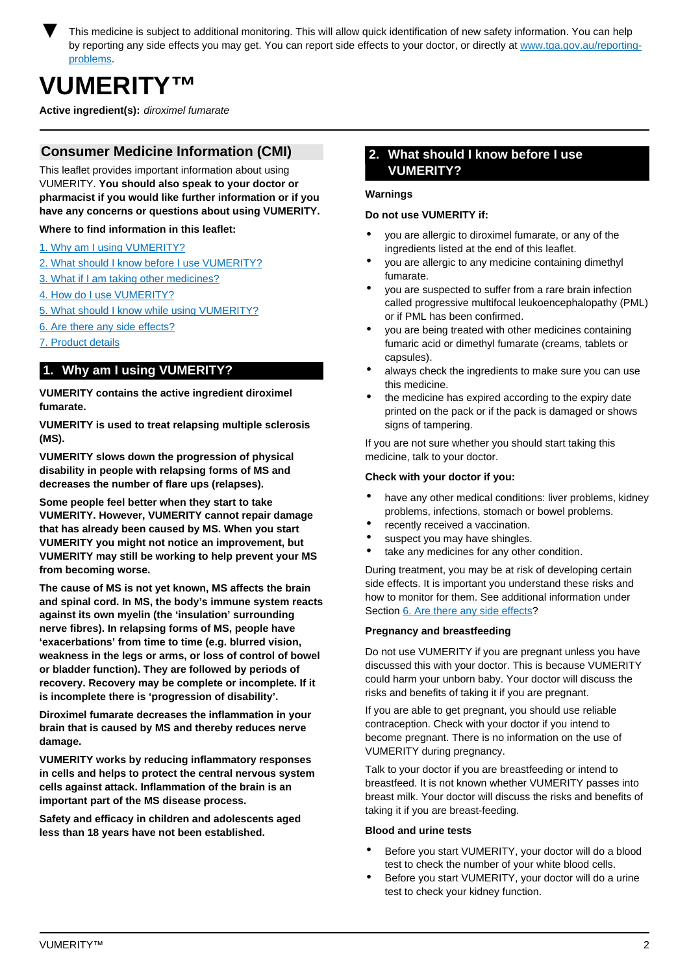<span id="page-1-0"></span>This medicine is subject to additional monitoring. This will allow quick identification of new safety information. You can help by reporting any side effects you may get. You can report side effects to your doctor, or directly at [www.tga.gov.au/reporting](http://www.tga.gov.au/reporting-problems)[problems.](http://www.tga.gov.au/reporting-problems)

# **VUMERITY™**

**Active ingredient(s):** diroximel fumarate

# **Consumer Medicine Information (CMI)**

This leaflet provides important information about using VUMERITY. **You should also speak to your doctor or pharmacist if you would like further information or if you have any concerns or questions about using VUMERITY.**

## **Where to find information in this leaflet:**

- [1. Why am I using VUMERITY?](#page-1-1)
- [2. What should I know before I use VUMERITY?](#page-1-2)
- [3. What if I am taking other medicines?](#page-2-0)
- [4. How do I use VUMERITY?](#page-2-1)
- [5. What should I know while using VUMERITY?](#page-2-2)
- [6. Are there any side effects?](#page-3-0)
- [7. Product details](#page-4-0)

# <span id="page-1-1"></span>**1. Why am I using VUMERITY?**

**VUMERITY contains the active ingredient diroximel fumarate.**

**VUMERITY is used to treat relapsing multiple sclerosis (MS).**

**VUMERITY slows down the progression of physical disability in people with relapsing forms of MS and decreases the number of flare ups (relapses).**

**Some people feel better when they start to take VUMERITY. However, VUMERITY cannot repair damage that has already been caused by MS. When you start VUMERITY you might not notice an improvement, but VUMERITY may still be working to help prevent your MS from becoming worse.**

**The cause of MS is not yet known, MS affects the brain and spinal cord. In MS, the body's immune system reacts against its own myelin (the 'insulation' surrounding nerve fibres). In relapsing forms of MS, people have 'exacerbations' from time to time (e.g. blurred vision, weakness in the legs or arms, or loss of control of bowel or bladder function). They are followed by periods of recovery. Recovery may be complete or incomplete. If it is incomplete there is 'progression of disability'.**

**Diroximel fumarate decreases the inflammation in your brain that is caused by MS and thereby reduces nerve damage.**

**VUMERITY works by reducing inflammatory responses in cells and helps to protect the central nervous system cells against attack. Inflammation of the brain is an important part of the MS disease process.**

<span id="page-1-2"></span>**Safety and efficacy in children and adolescents aged less than 18 years have not been established.**

# **2. What should I know before I use VUMERITY?**

### **Warnings**

#### **Do not use VUMERITY if:**

- you are allergic to diroximel fumarate, or any of the ingredients listed at the end of this leaflet.
- you are allergic to any medicine containing dimethyl fumarate.
- you are suspected to suffer from a rare brain infection called progressive multifocal leukoencephalopathy (PML) or if PML has been confirmed.
- you are being treated with other medicines containing fumaric acid or dimethyl fumarate (creams, tablets or capsules).
- always check the ingredients to make sure you can use this medicine.
- the medicine has expired according to the expiry date printed on the pack or if the pack is damaged or shows signs of tampering.

If you are not sure whether you should start taking this medicine, talk to your doctor.

## **Check with your doctor if you:**

- have any other medical conditions: liver problems, kidney problems, infections, stomach or bowel problems.
- recently received a vaccination.
- suspect you may have shingles.
- take any medicines for any other condition.

During treatment, you may be at risk of developing certain side effects. It is important you understand these risks and how to monitor for them. See additional information under Section [6. Are there any side effects](#page-3-0)?

## **Pregnancy and breastfeeding**

Do not use VUMERITY if you are pregnant unless you have discussed this with your doctor. This is because VUMERITY could harm your unborn baby. Your doctor will discuss the risks and benefits of taking it if you are pregnant.

If you are able to get pregnant, you should use reliable contraception. Check with your doctor if you intend to become pregnant. There is no information on the use of VUMERITY during pregnancy.

Talk to your doctor if you are breastfeeding or intend to breastfeed. It is not known whether VUMERITY passes into breast milk. Your doctor will discuss the risks and benefits of taking it if you are breast-feeding.

#### **Blood and urine tests**

- Before you start VUMERITY, your doctor will do a blood test to check the number of your white blood cells.
- Before you start VUMERITY, your doctor will do a urine test to check your kidney function.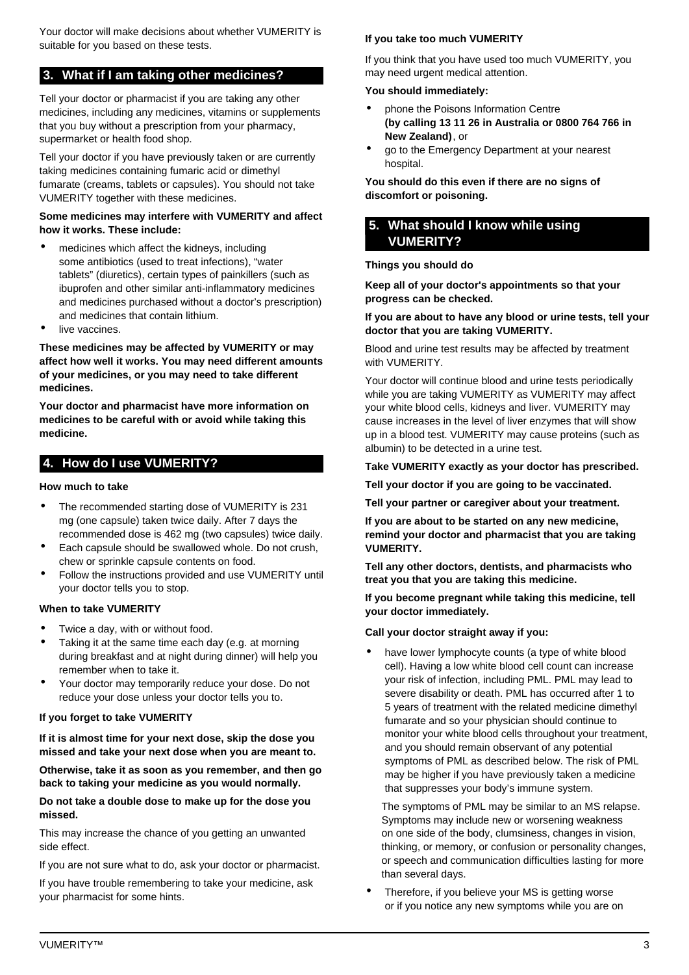Your doctor will make decisions about whether VUMERITY is suitable for you based on these tests.

# <span id="page-2-0"></span>**3. What if I am taking other medicines?**

Tell your doctor or pharmacist if you are taking any other medicines, including any medicines, vitamins or supplements that you buy without a prescription from your pharmacy, supermarket or health food shop.

Tell your doctor if you have previously taken or are currently taking medicines containing fumaric acid or dimethyl fumarate (creams, tablets or capsules). You should not take VUMERITY together with these medicines.

## **Some medicines may interfere with VUMERITY and affect how it works. These include:**

- medicines which affect the kidneys, including some antibiotics (used to treat infections), "water tablets" (diuretics), certain types of painkillers (such as ibuprofen and other similar anti-inflammatory medicines and medicines purchased without a doctor's prescription) and medicines that contain lithium.
- live vaccines.

**These medicines may be affected by VUMERITY or may affect how well it works. You may need different amounts of your medicines, or you may need to take different medicines.**

**Your doctor and pharmacist have more information on medicines to be careful with or avoid while taking this medicine.**

# <span id="page-2-1"></span>**4. How do I use VUMERITY?**

### **How much to take**

- The recommended starting dose of VUMERITY is 231 mg (one capsule) taken twice daily. After 7 days the recommended dose is 462 mg (two capsules) twice daily.
- Each capsule should be swallowed whole. Do not crush, chew or sprinkle capsule contents on food.
- Follow the instructions provided and use VUMERITY until your doctor tells you to stop.

## **When to take VUMERITY**

- Twice a day, with or without food.
- Taking it at the same time each day (e.g. at morning during breakfast and at night during dinner) will help you remember when to take it.
- Your doctor may temporarily reduce your dose. Do not reduce your dose unless your doctor tells you to.

## **If you forget to take VUMERITY**

**If it is almost time for your next dose, skip the dose you missed and take your next dose when you are meant to.**

**Otherwise, take it as soon as you remember, and then go back to taking your medicine as you would normally.**

#### **Do not take a double dose to make up for the dose you missed.**

This may increase the chance of you getting an unwanted side effect.

If you are not sure what to do, ask your doctor or pharmacist.

If you have trouble remembering to take your medicine, ask your pharmacist for some hints.

## **If you take too much VUMERITY**

If you think that you have used too much VUMERITY, you may need urgent medical attention.

#### **You should immediately:**

- phone the Poisons Information Centre **(by calling 13 11 26 in Australia or 0800 764 766 in New Zealand)**, or
- go to the Emergency Department at your nearest hospital.

**You should do this even if there are no signs of discomfort or poisoning.**

# <span id="page-2-2"></span>**5. What should I know while using VUMERITY?**

#### **Things you should do**

**Keep all of your doctor's appointments so that your progress can be checked.**

#### **If you are about to have any blood or urine tests, tell your doctor that you are taking VUMERITY.**

Blood and urine test results may be affected by treatment with VUMERITY.

Your doctor will continue blood and urine tests periodically while you are taking VUMERITY as VUMERITY may affect your white blood cells, kidneys and liver. VUMERITY may cause increases in the level of liver enzymes that will show up in a blood test. VUMERITY may cause proteins (such as albumin) to be detected in a urine test.

#### **Take VUMERITY exactly as your doctor has prescribed.**

**Tell your doctor if you are going to be vaccinated.**

**Tell your partner or caregiver about your treatment.**

**If you are about to be started on any new medicine, remind your doctor and pharmacist that you are taking VUMERITY.**

**Tell any other doctors, dentists, and pharmacists who treat you that you are taking this medicine.**

**If you become pregnant while taking this medicine, tell your doctor immediately.**

**Call your doctor straight away if you:**

have lower lymphocyte counts (a type of white blood cell). Having a low white blood cell count can increase your risk of infection, including PML. PML may lead to severe disability or death. PML has occurred after 1 to 5 years of treatment with the related medicine dimethyl fumarate and so your physician should continue to monitor your white blood cells throughout your treatment, and you should remain observant of any potential symptoms of PML as described below. The risk of PML may be higher if you have previously taken a medicine that suppresses your body's immune system.

The symptoms of PML may be similar to an MS relapse. Symptoms may include new or worsening weakness on one side of the body, clumsiness, changes in vision, thinking, or memory, or confusion or personality changes, or speech and communication difficulties lasting for more than several days.

Therefore, if you believe your MS is getting worse or if you notice any new symptoms while you are on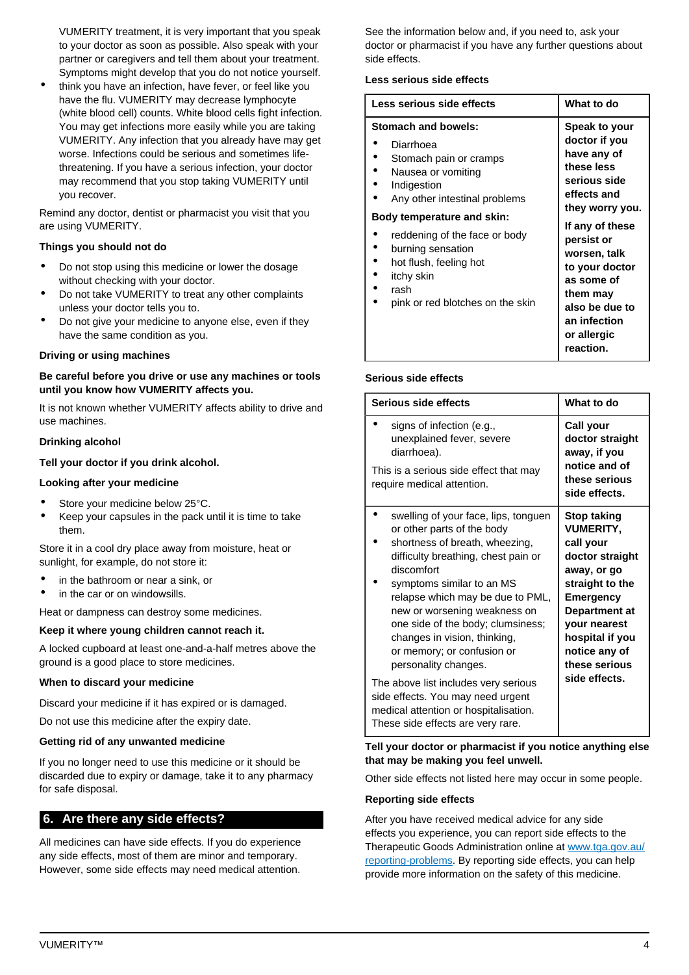VUMERITY treatment, it is very important that you speak to your doctor as soon as possible. Also speak with your partner or caregivers and tell them about your treatment. Symptoms might develop that you do not notice yourself.

• think you have an infection, have fever, or feel like you have the flu. VUMERITY may decrease lymphocyte (white blood cell) counts. White blood cells fight infection. You may get infections more easily while you are taking VUMERITY. Any infection that you already have may get worse. Infections could be serious and sometimes lifethreatening. If you have a serious infection, your doctor may recommend that you stop taking VUMERITY until you recover.

Remind any doctor, dentist or pharmacist you visit that you are using VUMERITY.

## **Things you should not do**

- Do not stop using this medicine or lower the dosage without checking with your doctor.
- Do not take VUMERITY to treat any other complaints unless your doctor tells you to.
- Do not give your medicine to anyone else, even if they have the same condition as you.

#### **Driving or using machines**

### **Be careful before you drive or use any machines or tools until you know how VUMERITY affects you.**

It is not known whether VUMERITY affects ability to drive and use machines.

#### **Drinking alcohol**

### **Tell your doctor if you drink alcohol.**

#### **Looking after your medicine**

- Store your medicine below 25°C.
- Keep your capsules in the pack until it is time to take them.

Store it in a cool dry place away from moisture, heat or sunlight, for example, do not store it:

- in the bathroom or near a sink, or
- in the car or on windowsills.

Heat or dampness can destroy some medicines.

#### **Keep it where young children cannot reach it.**

A locked cupboard at least one-and-a-half metres above the ground is a good place to store medicines.

#### **When to discard your medicine**

Discard your medicine if it has expired or is damaged.

Do not use this medicine after the expiry date.

#### **Getting rid of any unwanted medicine**

If you no longer need to use this medicine or it should be discarded due to expiry or damage, take it to any pharmacy for safe disposal.

## <span id="page-3-0"></span>**6. Are there any side effects?**

All medicines can have side effects. If you do experience any side effects, most of them are minor and temporary. However, some side effects may need medical attention. See the information below and, if you need to, ask your doctor or pharmacist if you have any further questions about side effects.

#### **Less serious side effects**

| Less serious side effects                                                                                                                                                                                                                                                                                | What to do                                                                                                                                                                                                                                                               |
|----------------------------------------------------------------------------------------------------------------------------------------------------------------------------------------------------------------------------------------------------------------------------------------------------------|--------------------------------------------------------------------------------------------------------------------------------------------------------------------------------------------------------------------------------------------------------------------------|
| Stomach and bowels:<br>Diarrhoea<br>Stomach pain or cramps<br>Nausea or vomiting<br>Indigestion<br>Any other intestinal problems<br>Body temperature and skin:<br>reddening of the face or body<br>burning sensation<br>hot flush, feeling hot<br>itchy skin<br>rash<br>pink or red blotches on the skin | Speak to your<br>doctor if you<br>have any of<br>these less<br>serious side<br>effects and<br>they worry you.<br>If any of these<br>persist or<br>worsen, talk<br>to your doctor<br>as some of<br>them may<br>also be due to<br>an infection<br>or allergic<br>reaction. |

## **Serious side effects**

| Serious side effects                                                                                                                                                                                                                                                                                                                                                                                                          | What to do                                                                                                                                                                                                                          |
|-------------------------------------------------------------------------------------------------------------------------------------------------------------------------------------------------------------------------------------------------------------------------------------------------------------------------------------------------------------------------------------------------------------------------------|-------------------------------------------------------------------------------------------------------------------------------------------------------------------------------------------------------------------------------------|
| signs of infection (e.g.,<br>unexplained fever, severe<br>diarrhoea).<br>This is a serious side effect that may                                                                                                                                                                                                                                                                                                               | Call your<br>doctor straight<br>away, if you<br>notice and of                                                                                                                                                                       |
| require medical attention.                                                                                                                                                                                                                                                                                                                                                                                                    | these serious<br>side effects.                                                                                                                                                                                                      |
| swelling of your face, lips, tonguen<br>or other parts of the body<br>shortness of breath, wheezing,<br>difficulty breathing, chest pain or<br>discomfort<br>symptoms similar to an MS<br>relapse which may be due to PML,<br>new or worsening weakness on<br>one side of the body; clumsiness;<br>changes in vision, thinking,<br>or memory; or confusion or<br>personality changes.<br>The above list includes very serious | <b>Stop taking</b><br><b>VUMERITY,</b><br>call your<br>doctor straight<br>away, or go<br>straight to the<br><b>Emergency</b><br>Department at<br>your nearest<br>hospital if you<br>notice any of<br>these serious<br>side effects. |
| side effects. You may need urgent<br>medical attention or hospitalisation.<br>These side effects are very rare.                                                                                                                                                                                                                                                                                                               |                                                                                                                                                                                                                                     |

**Tell your doctor or pharmacist if you notice anything else that may be making you feel unwell.**

Other side effects not listed here may occur in some people.

## **Reporting side effects**

After you have received medical advice for any side effects you experience, you can report side effects to the Therapeutic Goods Administration online at [www.tga.gov.au/](http://www.tga.gov.au/reporting-problems) [reporting-problems](http://www.tga.gov.au/reporting-problems). By reporting side effects, you can help provide more information on the safety of this medicine.